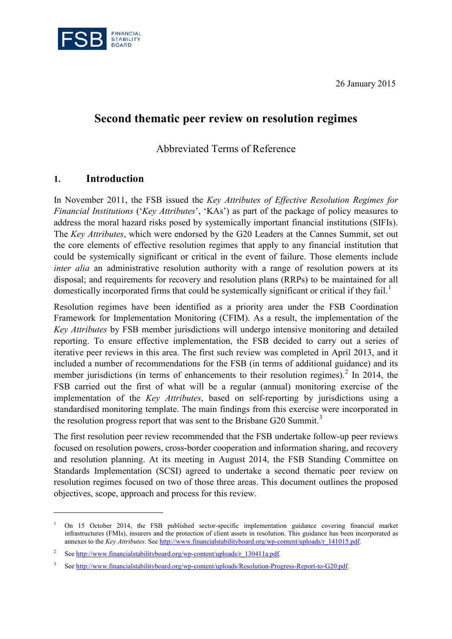26 January 2015



# **Second thematic peer review on resolution regimes**

Abbreviated Terms of Reference

#### **1. Introduction**

<u>.</u>

In November 2011, the FSB issued the *Key Attributes of Effective Resolution Regimes for Financial Institutions* ('*Key Attributes*', 'KAs') as part of the package of policy measures to address the moral hazard risks posed by systemically important financial institutions (SIFIs). The *Key Attributes*, which were endorsed by the G20 Leaders at the Cannes Summit, set out the core elements of effective resolution regimes that apply to any financial institution that could be systemically significant or critical in the event of failure. Those elements include *inter alia* an administrative resolution authority with a range of resolution powers at its disposal; and requirements for recovery and resolution plans (RRPs) to be maintained for all domestically incorporated firms that could be systemically significant or critical if they fail.<sup>[1](#page-0-0)</sup>

Resolution regimes have been identified as a priority area under the FSB Coordination Framework for Implementation Monitoring (CFIM). As a result, the implementation of the *Key Attributes* by FSB member jurisdictions will undergo intensive monitoring and detailed reporting. To ensure effective implementation, the FSB decided to carry out a series of iterative peer reviews in this area. The first such review was completed in April 2013, and it included a number of recommendations for the FSB (in terms of additional guidance) and its member jurisdictions (in terms of enhancements to their resolution regimes).<sup>[2](#page-0-1)</sup> In 2014, the FSB carried out the first of what will be a regular (annual) monitoring exercise of the implementation of the *Key Attributes*, based on self-reporting by jurisdictions using a standardised monitoring template. The main findings from this exercise were incorporated in the resolution progress report that was sent to the Brisbane G20 Summit.<sup>[3](#page-0-2)</sup>

The first resolution peer review recommended that the FSB undertake follow-up peer reviews focused on resolution powers, cross-border cooperation and information sharing, and recovery and resolution planning. At its meeting in August 2014, the FSB Standing Committee on Standards Implementation (SCSI) agreed to undertake a second thematic peer review on resolution regimes focused on two of those three areas. This document outlines the proposed objectives, scope, approach and process for this review.

<span id="page-0-0"></span><sup>1</sup> On 15 October 2014, the FSB published sector-specific implementation guidance covering financial market infrastructures (FMIs), insurers and the protection of client assets in resolution. This guidance has been incorporated as annexes to the *Key Attributes*. Se[e http://www.financialstabilityboard.org/wp-content/uploads/r\\_141015.pdf.](http://www.financialstabilityboard.org/wp-content/uploads/r_141015.pdf) 

<span id="page-0-1"></span><sup>&</sup>lt;sup>2</sup> See http://www.financialstabilityboard.org/wp-content/uploads/r 130411a.pdf.

<span id="page-0-2"></span><sup>3</sup> Se[e http://www.financialstabilityboard.org/wp-content/uploads/Resolution-Progress-Report-to-G20.pdf.](http://www.financialstabilityboard.org/wp-content/uploads/Resolution-Progress-Report-to-G20.pdf)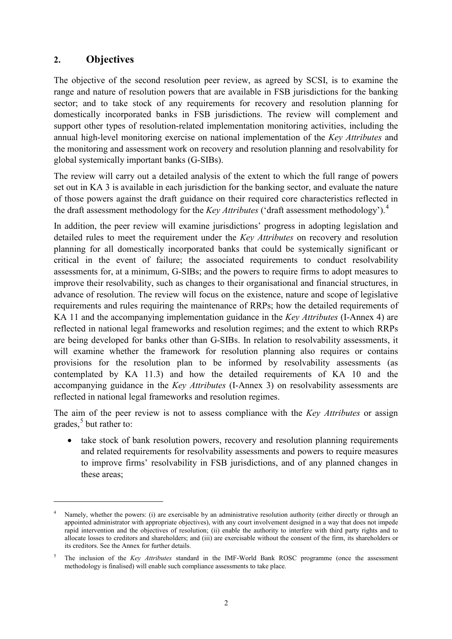# **2. Objectives**

-

The objective of the second resolution peer review, as agreed by SCSI, is to examine the range and nature of resolution powers that are available in FSB jurisdictions for the banking sector; and to take stock of any requirements for recovery and resolution planning for domestically incorporated banks in FSB jurisdictions. The review will complement and support other types of resolution-related implementation monitoring activities, including the annual high-level monitoring exercise on national implementation of the *Key Attributes* and the monitoring and assessment work on recovery and resolution planning and resolvability for global systemically important banks (G-SIBs).

The review will carry out a detailed analysis of the extent to which the full range of powers set out in KA 3 is available in each jurisdiction for the banking sector, and evaluate the nature of those powers against the draft guidance on their required core characteristics reflected in the draft assessment methodology for the *Key Attributes* ('draft assessment methodology'). [4](#page-1-0)

In addition, the peer review will examine jurisdictions' progress in adopting legislation and detailed rules to meet the requirement under the *Key Attributes* on recovery and resolution planning for all domestically incorporated banks that could be systemically significant or critical in the event of failure; the associated requirements to conduct resolvability assessments for, at a minimum, G-SIBs; and the powers to require firms to adopt measures to improve their resolvability, such as changes to their organisational and financial structures, in advance of resolution. The review will focus on the existence, nature and scope of legislative requirements and rules requiring the maintenance of RRPs; how the detailed requirements of KA 11 and the accompanying implementation guidance in the *Key Attributes* (I-Annex 4) are reflected in national legal frameworks and resolution regimes; and the extent to which RRPs are being developed for banks other than G-SIBs. In relation to resolvability assessments, it will examine whether the framework for resolution planning also requires or contains provisions for the resolution plan to be informed by resolvability assessments (as contemplated by KA 11.3) and how the detailed requirements of KA 10 and the accompanying guidance in the *Key Attributes* (I-Annex 3) on resolvability assessments are reflected in national legal frameworks and resolution regimes.

The aim of the peer review is not to assess compliance with the *Key Attributes* or assign grades, [5](#page-1-1) but rather to:

• take stock of bank resolution powers, recovery and resolution planning requirements and related requirements for resolvability assessments and powers to require measures to improve firms' resolvability in FSB jurisdictions, and of any planned changes in these areas;

<span id="page-1-0"></span><sup>&</sup>lt;sup>4</sup> Namely, whether the powers: (i) are exercisable by an administrative resolution authority (either directly or through an appointed administrator with appropriate objectives), with any court involvement designed in a way that does not impede rapid intervention and the objectives of resolution; (ii) enable the authority to interfere with third party rights and to allocate losses to creditors and shareholders; and (iii) are exercisable without the consent of the firm, its shareholders or its creditors. See the Annex for further details.

<span id="page-1-1"></span><sup>5</sup> The inclusion of the *Key Attributes* standard in the IMF-World Bank ROSC programme (once the assessment methodology is finalised) will enable such compliance assessments to take place.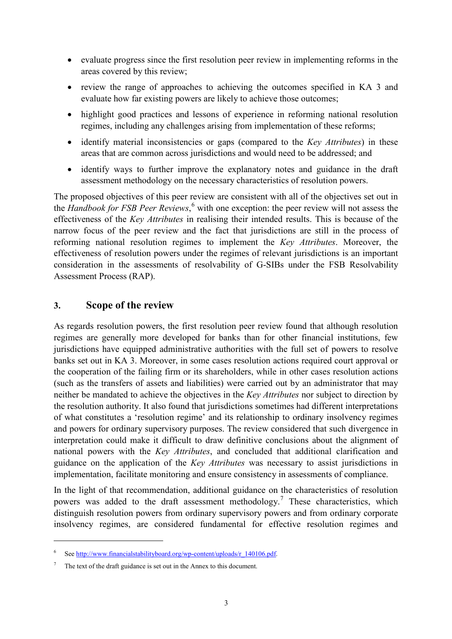- evaluate progress since the first resolution peer review in implementing reforms in the areas covered by this review;
- review the range of approaches to achieving the outcomes specified in KA 3 and evaluate how far existing powers are likely to achieve those outcomes;
- highlight good practices and lessons of experience in reforming national resolution regimes, including any challenges arising from implementation of these reforms;
- identify material inconsistencies or gaps (compared to the *Key Attributes*) in these areas that are common across jurisdictions and would need to be addressed; and
- identify ways to further improve the explanatory notes and guidance in the draft assessment methodology on the necessary characteristics of resolution powers.

The proposed objectives of this peer review are consistent with all of the objectives set out in the *Handbook for FSB Peer Reviews*, [6](#page-2-0) with one exception: the peer review will not assess the effectiveness of the *Key Attributes* in realising their intended results. This is because of the narrow focus of the peer review and the fact that jurisdictions are still in the process of reforming national resolution regimes to implement the *Key Attributes*. Moreover, the effectiveness of resolution powers under the regimes of relevant jurisdictions is an important consideration in the assessments of resolvability of G-SIBs under the FSB Resolvability Assessment Process (RAP).

## **3. Scope of the review**

As regards resolution powers, the first resolution peer review found that although resolution regimes are generally more developed for banks than for other financial institutions, few jurisdictions have equipped administrative authorities with the full set of powers to resolve banks set out in KA 3. Moreover, in some cases resolution actions required court approval or the cooperation of the failing firm or its shareholders, while in other cases resolution actions (such as the transfers of assets and liabilities) were carried out by an administrator that may neither be mandated to achieve the objectives in the *Key Attributes* nor subject to direction by the resolution authority. It also found that jurisdictions sometimes had different interpretations of what constitutes a 'resolution regime' and its relationship to ordinary insolvency regimes and powers for ordinary supervisory purposes. The review considered that such divergence in interpretation could make it difficult to draw definitive conclusions about the alignment of national powers with the *Key Attributes*, and concluded that additional clarification and guidance on the application of the *Key Attributes* was necessary to assist jurisdictions in implementation, facilitate monitoring and ensure consistency in assessments of compliance.

In the light of that recommendation, additional guidance on the characteristics of resolution powers was added to the draft assessment methodology.<sup>[7](#page-2-1)</sup> These characteristics, which distinguish resolution powers from ordinary supervisory powers and from ordinary corporate insolvency regimes, are considered fundamental for effective resolution regimes and

-

<span id="page-2-0"></span>Se[e http://www.financialstabilityboard.org/wp-content/uploads/r\\_140106.pdf.](http://www.financialstabilityboard.org/wp-content/uploads/r_140106.pdf)

<span id="page-2-1"></span>The text of the draft guidance is set out in the Annex to this document.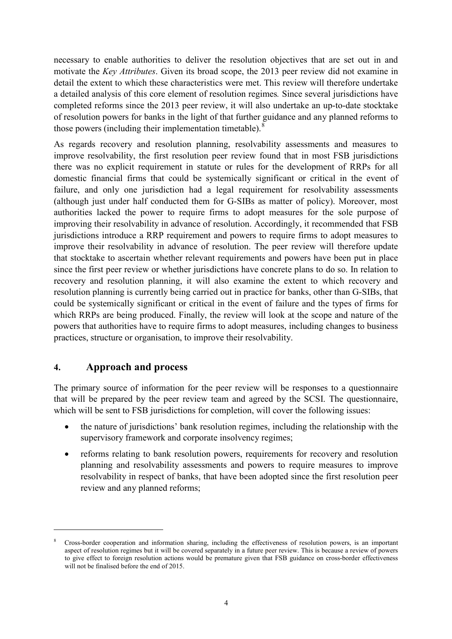necessary to enable authorities to deliver the resolution objectives that are set out in and motivate the *Key Attributes*. Given its broad scope, the 2013 peer review did not examine in detail the extent to which these characteristics were met. This review will therefore undertake a detailed analysis of this core element of resolution regimes*.* Since several jurisdictions have completed reforms since the 2013 peer review, it will also undertake an up-to-date stocktake of resolution powers for banks in the light of that further guidance and any planned reforms to those powers (including their implementation timetable). $^{8}$  $^{8}$  $^{8}$ 

As regards recovery and resolution planning, resolvability assessments and measures to improve resolvability, the first resolution peer review found that in most FSB jurisdictions there was no explicit requirement in statute or rules for the development of RRPs for all domestic financial firms that could be systemically significant or critical in the event of failure, and only one jurisdiction had a legal requirement for resolvability assessments (although just under half conducted them for G-SIBs as matter of policy). Moreover, most authorities lacked the power to require firms to adopt measures for the sole purpose of improving their resolvability in advance of resolution. Accordingly, it recommended that FSB jurisdictions introduce a RRP requirement and powers to require firms to adopt measures to improve their resolvability in advance of resolution. The peer review will therefore update that stocktake to ascertain whether relevant requirements and powers have been put in place since the first peer review or whether jurisdictions have concrete plans to do so. In relation to recovery and resolution planning, it will also examine the extent to which recovery and resolution planning is currently being carried out in practice for banks, other than G-SIBs, that could be systemically significant or critical in the event of failure and the types of firms for which RRPs are being produced. Finally, the review will look at the scope and nature of the powers that authorities have to require firms to adopt measures, including changes to business practices, structure or organisation, to improve their resolvability.

# **4. Approach and process**

-

The primary source of information for the peer review will be responses to a questionnaire that will be prepared by the peer review team and agreed by the SCSI. The questionnaire, which will be sent to FSB jurisdictions for completion, will cover the following issues:

- the nature of jurisdictions' bank resolution regimes, including the relationship with the supervisory framework and corporate insolvency regimes;
- reforms relating to bank resolution powers, requirements for recovery and resolution planning and resolvability assessments and powers to require measures to improve resolvability in respect of banks, that have been adopted since the first resolution peer review and any planned reforms;

<span id="page-3-0"></span><sup>8</sup> Cross-border cooperation and information sharing, including the effectiveness of resolution powers, is an important aspect of resolution regimes but it will be covered separately in a future peer review. This is because a review of powers to give effect to foreign resolution actions would be premature given that FSB guidance on cross-border effectiveness will not be finalised before the end of 2015.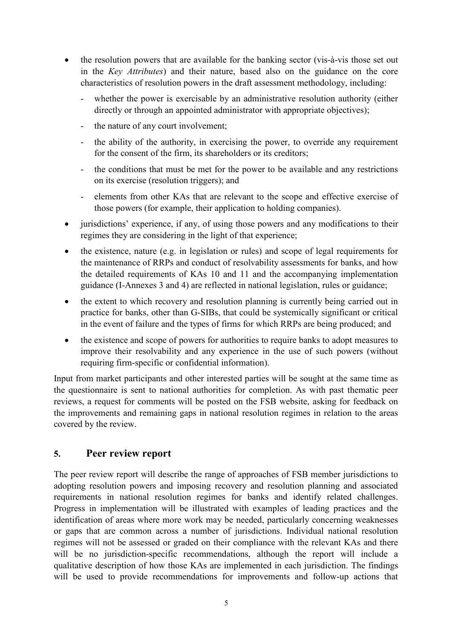- the resolution powers that are available for the banking sector (vis-à-vis those set out in the *Key Attributes*) and their nature, based also on the guidance on the core characteristics of resolution powers in the draft assessment methodology, including:
	- whether the power is exercisable by an administrative resolution authority (either directly or through an appointed administrator with appropriate objectives);
	- the nature of any court involvement;
	- the ability of the authority, in exercising the power, to override any requirement for the consent of the firm, its shareholders or its creditors;
	- the conditions that must be met for the power to be available and any restrictions on its exercise (resolution triggers); and
	- elements from other KAs that are relevant to the scope and effective exercise of those powers (for example, their application to holding companies).
- jurisdictions' experience, if any, of using those powers and any modifications to their regimes they are considering in the light of that experience;
- the existence, nature (e.g. in legislation or rules) and scope of legal requirements for the maintenance of RRPs and conduct of resolvability assessments for banks, and how the detailed requirements of KAs 10 and 11 and the accompanying implementation guidance (I-Annexes 3 and 4) are reflected in national legislation, rules or guidance;
- the extent to which recovery and resolution planning is currently being carried out in practice for banks, other than G-SIBs, that could be systemically significant or critical in the event of failure and the types of firms for which RRPs are being produced; and
- the existence and scope of powers for authorities to require banks to adopt measures to improve their resolvability and any experience in the use of such powers (without requiring firm-specific or confidential information).

Input from market participants and other interested parties will be sought at the same time as the questionnaire is sent to national authorities for completion. As with past thematic peer reviews, a request for comments will be posted on the FSB website, asking for feedback on the improvements and remaining gaps in national resolution regimes in relation to the areas covered by the review.

#### **5. Peer review report**

The peer review report will describe the range of approaches of FSB member jurisdictions to adopting resolution powers and imposing recovery and resolution planning and associated requirements in national resolution regimes for banks and identify related challenges. Progress in implementation will be illustrated with examples of leading practices and the identification of areas where more work may be needed, particularly concerning weaknesses or gaps that are common across a number of jurisdictions. Individual national resolution regimes will not be assessed or graded on their compliance with the relevant KAs and there will be no jurisdiction-specific recommendations, although the report will include a qualitative description of how those KAs are implemented in each jurisdiction. The findings will be used to provide recommendations for improvements and follow-up actions that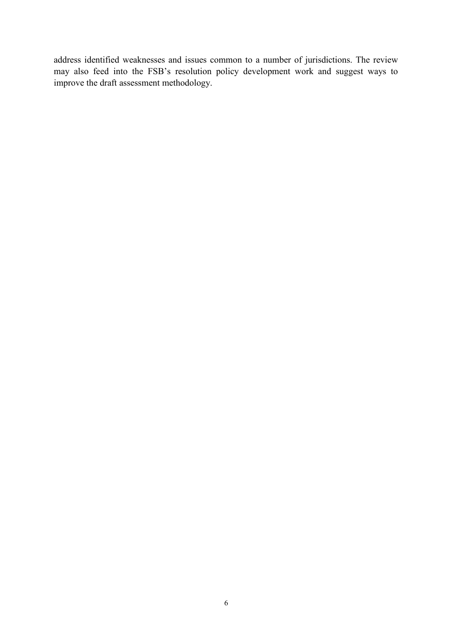address identified weaknesses and issues common to a number of jurisdictions. The review may also feed into the FSB's resolution policy development work and suggest ways to improve the draft assessment methodology.